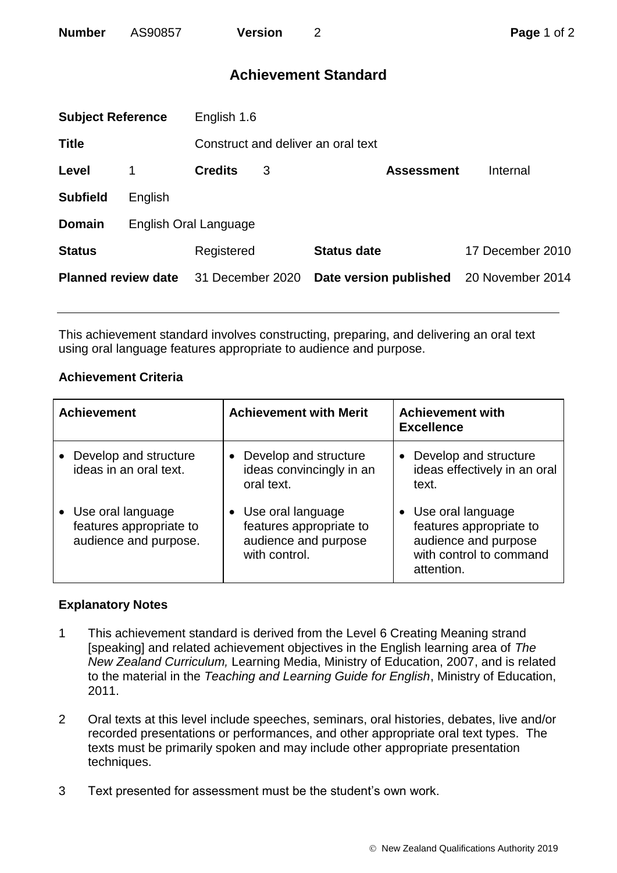| <b>Number</b> | AS90857 | <b>Version</b> |
|---------------|---------|----------------|
|               |         |                |

# **Achievement Standard**

| <b>Subject Reference</b>   |         | English 1.6                        |   |                        |                  |  |
|----------------------------|---------|------------------------------------|---|------------------------|------------------|--|
| <b>Title</b>               |         | Construct and deliver an oral text |   |                        |                  |  |
| Level                      |         | <b>Credits</b>                     | 3 | <b>Assessment</b>      | Internal         |  |
| <b>Subfield</b>            | English |                                    |   |                        |                  |  |
| <b>Domain</b>              |         | English Oral Language              |   |                        |                  |  |
| <b>Status</b>              |         | Registered                         |   | <b>Status date</b>     | 17 December 2010 |  |
| <b>Planned review date</b> |         | 31 December 2020                   |   | Date version published | 20 November 2014 |  |
|                            |         |                                    |   |                        |                  |  |

This achievement standard involves constructing, preparing, and delivering an oral text using oral language features appropriate to audience and purpose.

## **Achievement Criteria**

| <b>Achievement</b>                                                      | <b>Achievement with Merit</b>                                                           | <b>Achievement with</b><br><b>Excellence</b>                                                                    |
|-------------------------------------------------------------------------|-----------------------------------------------------------------------------------------|-----------------------------------------------------------------------------------------------------------------|
| • Develop and structure<br>ideas in an oral text.                       | Develop and structure<br>ideas convincingly in an<br>oral text.                         | Develop and structure<br>ideas effectively in an oral<br>text.                                                  |
| • Use oral language<br>features appropriate to<br>audience and purpose. | • Use oral language<br>features appropriate to<br>audience and purpose<br>with control. | • Use oral language<br>features appropriate to<br>audience and purpose<br>with control to command<br>attention. |

## **Explanatory Notes**

- 1 This achievement standard is derived from the Level 6 Creating Meaning strand [speaking] and related achievement objectives in the English learning area of *The New Zealand Curriculum,* Learning Media, Ministry of Education, 2007, and is related to the material in the *Teaching and Learning Guide for English*, Ministry of Education, 2011.
- 2 Oral texts at this level include speeches, seminars, oral histories, debates, live and/or recorded presentations or performances, and other appropriate oral text types. The texts must be primarily spoken and may include other appropriate presentation techniques.
- 3 Text presented for assessment must be the student's own work.